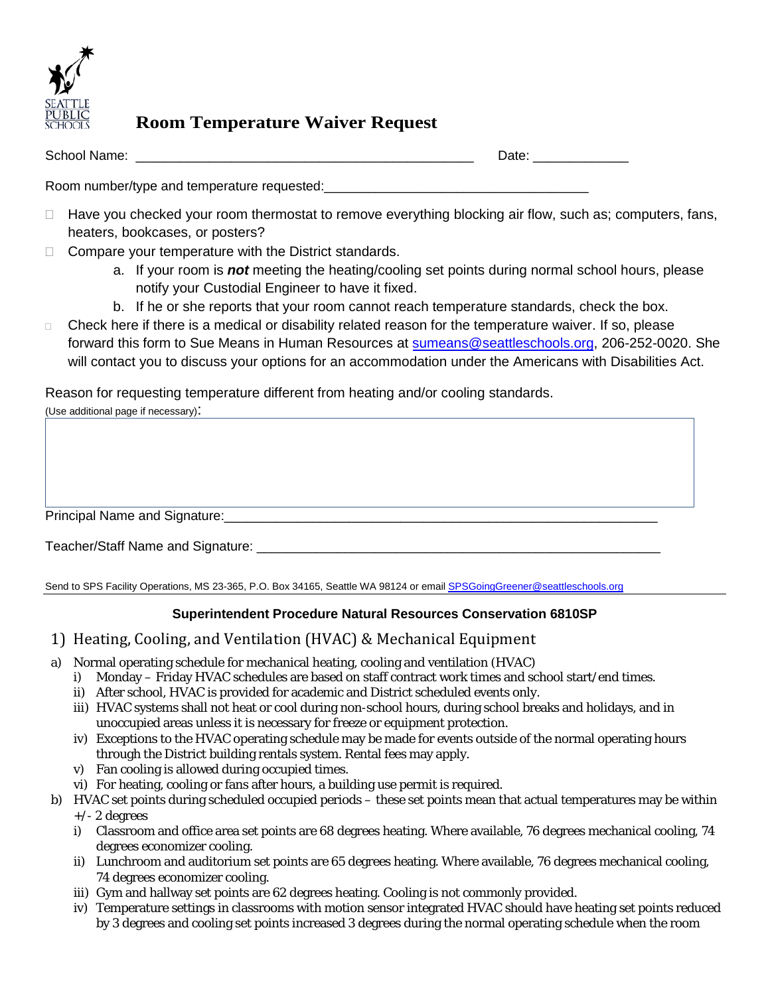

## **Room Temperature Waiver Request**

| School Name: | $7 - 1 -$<br>$  -$ |
|--------------|--------------------|
|              |                    |

Room number/type and temperature requested:

- $\Box$  Have you checked your room thermostat to remove everything blocking air flow, such as; computers, fans, heaters, bookcases, or posters?
- $\Box$  Compare your temperature with the District standards.
	- a. If your room is *not* meeting the heating/cooling set points during normal school hours, please notify your Custodial Engineer to have it fixed.
	- b. If he or she reports that your room cannot reach temperature standards, check the box.
- $\Box$  Check here if there is a medical or disability related reason for the temperature waiver. If so, please forward this form to Sue Means in Human Resources at su[means@seattleschools.org,](mailto:sameans@seattleschools.org) 206-252-0020. She will contact you to discuss your options for an accommodation under the Americans with Disabilities Act.

Reason for requesting temperature different from heating and/or cooling standards.

| (Use additional page if necessary): |  |  |
|-------------------------------------|--|--|
|                                     |  |  |
|                                     |  |  |
|                                     |  |  |
|                                     |  |  |
|                                     |  |  |
|                                     |  |  |
| Teacher/Staff Name and Signature:   |  |  |

Send to SPS Facility Operations, MS 23-365, P.O. Box 34165, Seattle WA 98124 or email SPSGoingGreener@seattleschools.org

## **Superintendent Procedure Natural Resources Conservation 6810SP**

- 1) Heating, Cooling, and Ventilation (HVAC) & Mechanical Equipment
- a) Normal operating schedule for mechanical heating, cooling and ventilation (HVAC)
	- i) Monday Friday HVAC schedules are based on staff contract work times and school start/end times.
	- ii) After school, HVAC is provided for academic and District scheduled events only.
	- iii) HVAC systems shall not heat or cool during non-school hours, during school breaks and holidays, and in unoccupied areas unless it is necessary for freeze or equipment protection.
	- iv) Exceptions to the HVAC operating schedule may be made for events outside of the normal operating hours through the District building rentals system. Rental fees may apply.
	- v) Fan cooling is allowed during occupied times.
- vi) For heating, cooling or fans after hours, a building use permit is required.
- b) HVAC set points during scheduled occupied periods these set points mean that actual temperatures may be within +/- 2 degrees
	- i) Classroom and office area set points are 68 degrees heating. Where available, 76 degrees mechanical cooling, 74 degrees economizer cooling.
	- ii) Lunchroom and auditorium set points are 65 degrees heating. Where available, 76 degrees mechanical cooling, 74 degrees economizer cooling.
	- iii) Gym and hallway set points are 62 degrees heating. Cooling is not commonly provided.
	- iv) Temperature settings in classrooms with motion sensor integrated HVAC should have heating set points reduced by 3 degrees and cooling set points increased 3 degrees during the normal operating schedule when the room